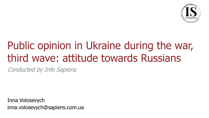

# Public opinion in Ukraine during the war, third wave: attitude towards Russians

Conducted by Info Sapiens

Inna Volosevych inna.volosevych@sapiens.com.ua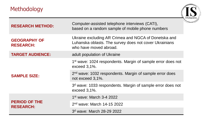# Methodology



| <b>RESEARCH METHOD:</b>                  | Computer-assisted telephone interviews (CATI),<br>based on a random sample of mobile phone numbers                                       |
|------------------------------------------|------------------------------------------------------------------------------------------------------------------------------------------|
| <b>GEOGRAPHY OF</b><br><b>RESEARCH:</b>  | Ukraine excluding AR Crimea and NGCA of Donetska and<br>Luhanska oblasts. The survey does not cover Ukrainians<br>who have moved abroad. |
| <b>TARGET AUDIENCE:</b>                  | adult population of Ukraine                                                                                                              |
| <b>SAMPLE SIZE:</b>                      | 1 <sup>st</sup> wave: 1024 respondents. Margin of sample error does not<br>exceed 3,1%.                                                  |
|                                          | 2 <sup>nd</sup> wave: 1032 respondents. Margin of sample error does<br>not exceed 3,1%.                                                  |
|                                          | 3 <sup>d</sup> wave: 1033 respondents. Margin of sample error does not<br>exceed 3,1%.                                                   |
| <b>PERIOD OF THE</b><br><b>RESEARCH:</b> | $1st$ wave: March 3-4 2022                                                                                                               |
|                                          | 2 <sup>nd</sup> wave: March 14-15 2022                                                                                                   |
|                                          | 3 <sup>d</sup> wave: March 28-29 2022                                                                                                    |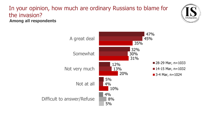#### In your opinion, how much are ordinary Russians to blame for the invasion? **Among all respondents**



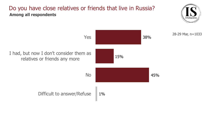#### Do you have close relatives or friends that live in Russia? **Among all respondents**



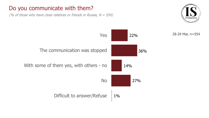### Do you communicate with them?

(% of those who have close relatives or friends in Russia,  $N = 554$ )



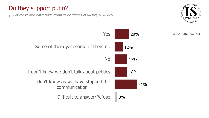## Do they support putin?

(% of those who have close relatives or friends in Russia,  $N = 554$ )





28-29 Mar, n=554